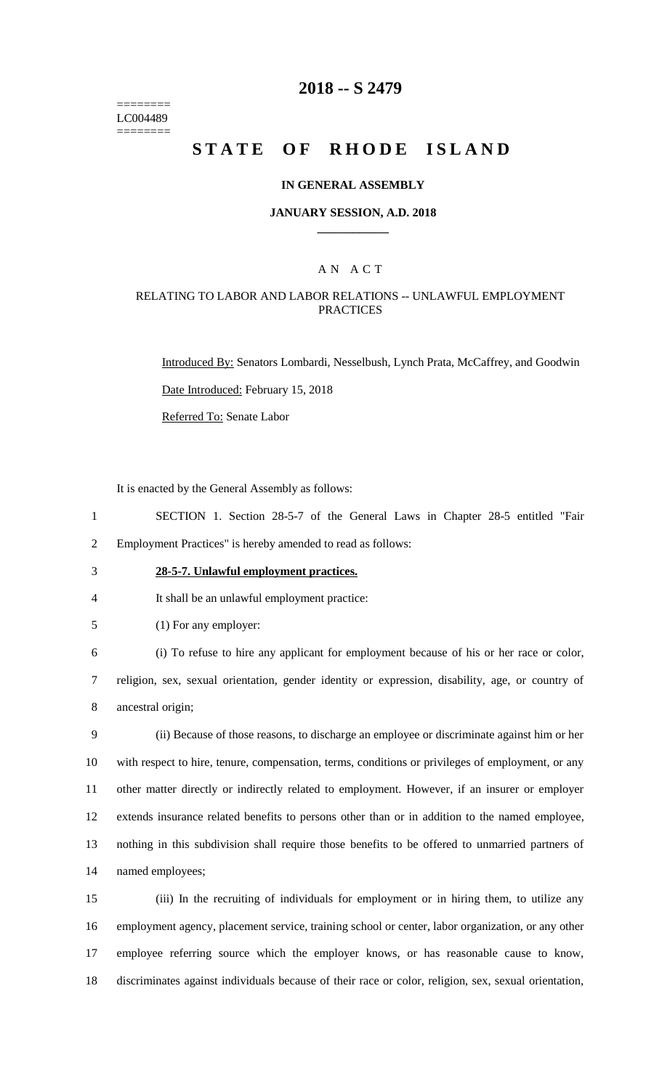======== LC004489 ========

# **2018 -- S 2479**

# **STATE OF RHODE ISLAND**

### **IN GENERAL ASSEMBLY**

### **JANUARY SESSION, A.D. 2018 \_\_\_\_\_\_\_\_\_\_\_\_**

### A N A C T

### RELATING TO LABOR AND LABOR RELATIONS -- UNLAWFUL EMPLOYMENT **PRACTICES**

Introduced By: Senators Lombardi, Nesselbush, Lynch Prata, McCaffrey, and Goodwin

Date Introduced: February 15, 2018

Referred To: Senate Labor

It is enacted by the General Assembly as follows:

- 1 SECTION 1. Section 28-5-7 of the General Laws in Chapter 28-5 entitled "Fair 2 Employment Practices" is hereby amended to read as follows:
- 

# 3 **28-5-7. Unlawful employment practices.**

4 It shall be an unlawful employment practice:

5 (1) For any employer:

6 (i) To refuse to hire any applicant for employment because of his or her race or color, 7 religion, sex, sexual orientation, gender identity or expression, disability, age, or country of 8 ancestral origin;

 (ii) Because of those reasons, to discharge an employee or discriminate against him or her with respect to hire, tenure, compensation, terms, conditions or privileges of employment, or any other matter directly or indirectly related to employment. However, if an insurer or employer extends insurance related benefits to persons other than or in addition to the named employee, nothing in this subdivision shall require those benefits to be offered to unmarried partners of named employees;

 (iii) In the recruiting of individuals for employment or in hiring them, to utilize any employment agency, placement service, training school or center, labor organization, or any other employee referring source which the employer knows, or has reasonable cause to know, discriminates against individuals because of their race or color, religion, sex, sexual orientation,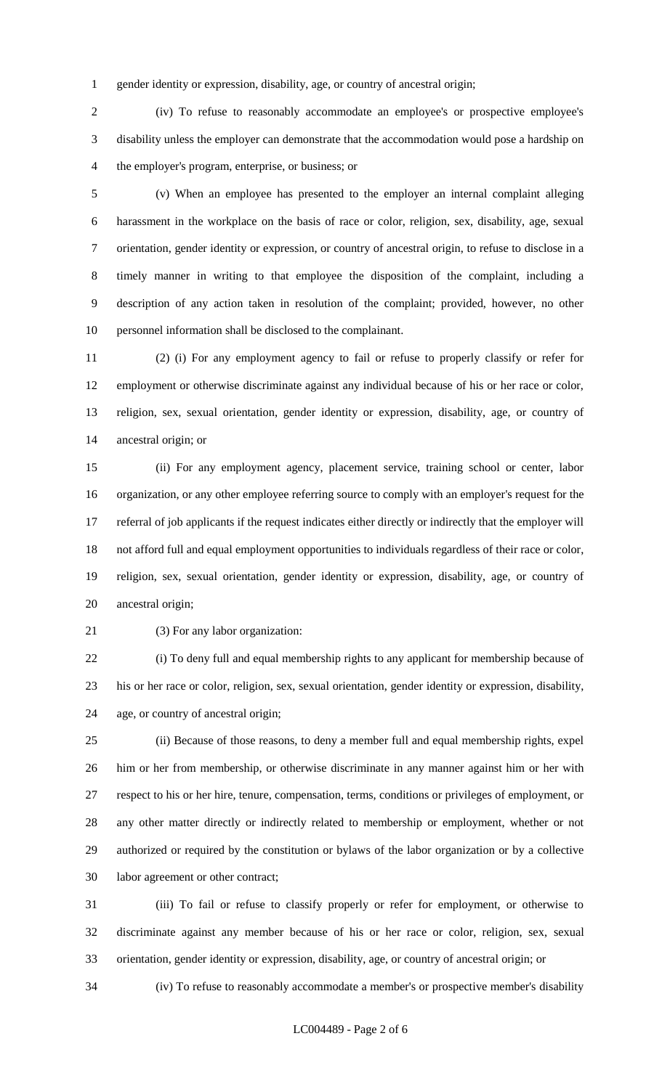gender identity or expression, disability, age, or country of ancestral origin;

 (iv) To refuse to reasonably accommodate an employee's or prospective employee's disability unless the employer can demonstrate that the accommodation would pose a hardship on the employer's program, enterprise, or business; or

 (v) When an employee has presented to the employer an internal complaint alleging harassment in the workplace on the basis of race or color, religion, sex, disability, age, sexual orientation, gender identity or expression, or country of ancestral origin, to refuse to disclose in a timely manner in writing to that employee the disposition of the complaint, including a description of any action taken in resolution of the complaint; provided, however, no other personnel information shall be disclosed to the complainant.

 (2) (i) For any employment agency to fail or refuse to properly classify or refer for employment or otherwise discriminate against any individual because of his or her race or color, religion, sex, sexual orientation, gender identity or expression, disability, age, or country of ancestral origin; or

 (ii) For any employment agency, placement service, training school or center, labor organization, or any other employee referring source to comply with an employer's request for the referral of job applicants if the request indicates either directly or indirectly that the employer will not afford full and equal employment opportunities to individuals regardless of their race or color, religion, sex, sexual orientation, gender identity or expression, disability, age, or country of ancestral origin;

(3) For any labor organization:

 (i) To deny full and equal membership rights to any applicant for membership because of his or her race or color, religion, sex, sexual orientation, gender identity or expression, disability, age, or country of ancestral origin;

 (ii) Because of those reasons, to deny a member full and equal membership rights, expel him or her from membership, or otherwise discriminate in any manner against him or her with respect to his or her hire, tenure, compensation, terms, conditions or privileges of employment, or any other matter directly or indirectly related to membership or employment, whether or not authorized or required by the constitution or bylaws of the labor organization or by a collective labor agreement or other contract;

 (iii) To fail or refuse to classify properly or refer for employment, or otherwise to discriminate against any member because of his or her race or color, religion, sex, sexual orientation, gender identity or expression, disability, age, or country of ancestral origin; or

(iv) To refuse to reasonably accommodate a member's or prospective member's disability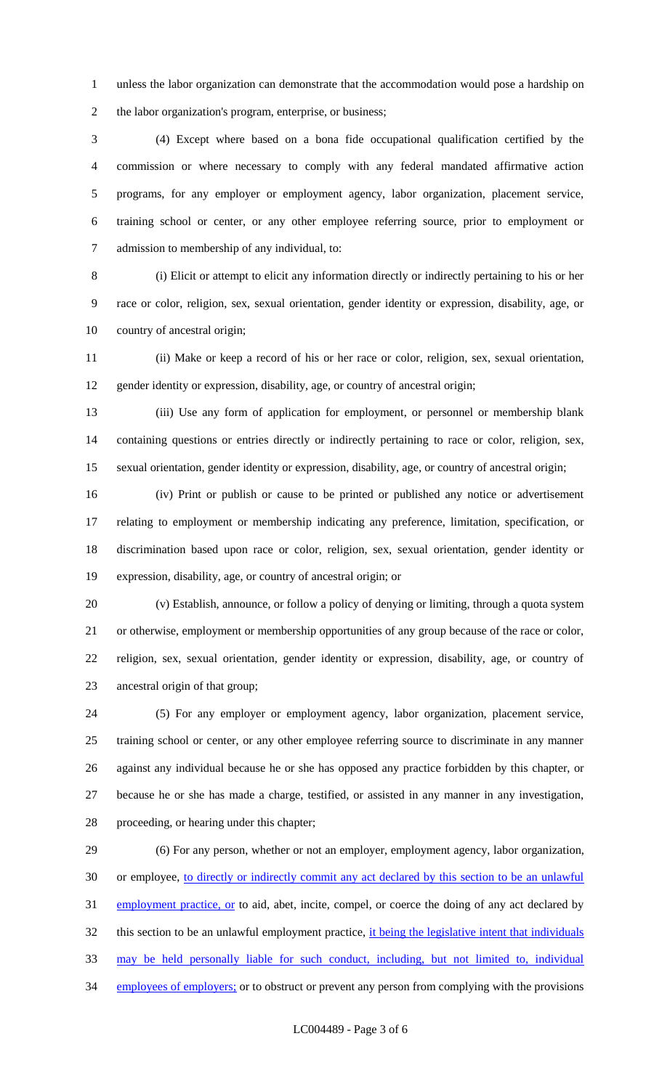unless the labor organization can demonstrate that the accommodation would pose a hardship on the labor organization's program, enterprise, or business;

 (4) Except where based on a bona fide occupational qualification certified by the commission or where necessary to comply with any federal mandated affirmative action programs, for any employer or employment agency, labor organization, placement service, training school or center, or any other employee referring source, prior to employment or admission to membership of any individual, to:

 (i) Elicit or attempt to elicit any information directly or indirectly pertaining to his or her race or color, religion, sex, sexual orientation, gender identity or expression, disability, age, or country of ancestral origin;

 (ii) Make or keep a record of his or her race or color, religion, sex, sexual orientation, gender identity or expression, disability, age, or country of ancestral origin;

 (iii) Use any form of application for employment, or personnel or membership blank containing questions or entries directly or indirectly pertaining to race or color, religion, sex, sexual orientation, gender identity or expression, disability, age, or country of ancestral origin;

 (iv) Print or publish or cause to be printed or published any notice or advertisement relating to employment or membership indicating any preference, limitation, specification, or discrimination based upon race or color, religion, sex, sexual orientation, gender identity or expression, disability, age, or country of ancestral origin; or

 (v) Establish, announce, or follow a policy of denying or limiting, through a quota system or otherwise, employment or membership opportunities of any group because of the race or color, religion, sex, sexual orientation, gender identity or expression, disability, age, or country of ancestral origin of that group;

 (5) For any employer or employment agency, labor organization, placement service, training school or center, or any other employee referring source to discriminate in any manner against any individual because he or she has opposed any practice forbidden by this chapter, or because he or she has made a charge, testified, or assisted in any manner in any investigation, proceeding, or hearing under this chapter;

 (6) For any person, whether or not an employer, employment agency, labor organization, or employee, to directly or indirectly commit any act declared by this section to be an unlawful 31 employment practice, or to aid, abet, incite, compel, or coerce the doing of any act declared by 32 this section to be an unlawful employment practice, it being the legislative intent that individuals may be held personally liable for such conduct, including, but not limited to, individual 34 employees of employers; or to obstruct or prevent any person from complying with the provisions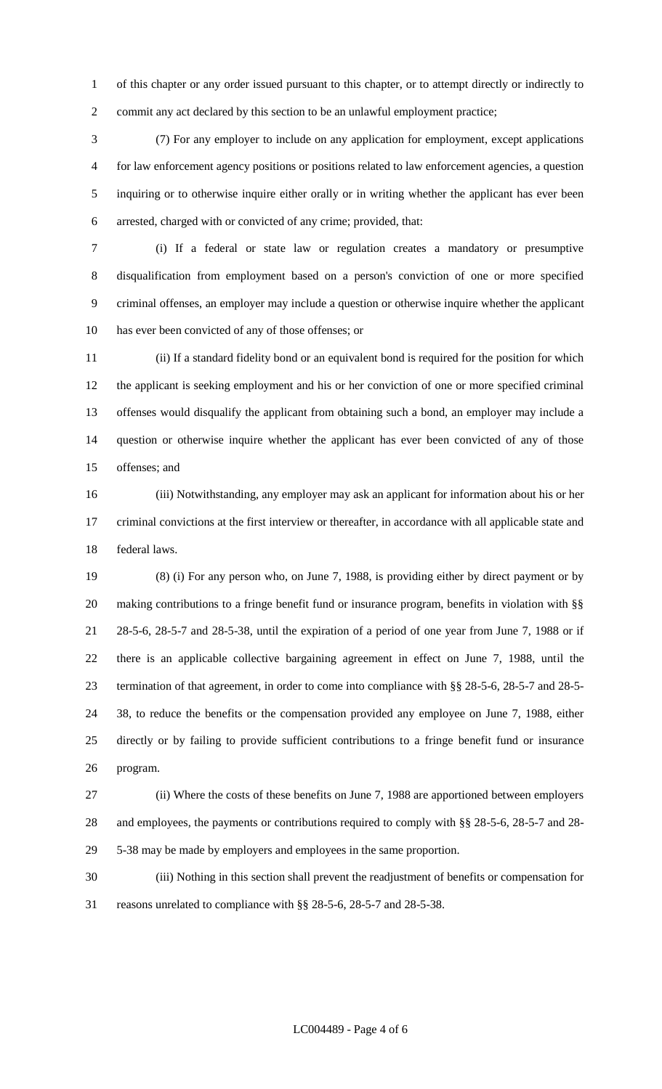of this chapter or any order issued pursuant to this chapter, or to attempt directly or indirectly to commit any act declared by this section to be an unlawful employment practice;

 (7) For any employer to include on any application for employment, except applications for law enforcement agency positions or positions related to law enforcement agencies, a question inquiring or to otherwise inquire either orally or in writing whether the applicant has ever been arrested, charged with or convicted of any crime; provided, that:

 (i) If a federal or state law or regulation creates a mandatory or presumptive disqualification from employment based on a person's conviction of one or more specified criminal offenses, an employer may include a question or otherwise inquire whether the applicant has ever been convicted of any of those offenses; or

 (ii) If a standard fidelity bond or an equivalent bond is required for the position for which the applicant is seeking employment and his or her conviction of one or more specified criminal offenses would disqualify the applicant from obtaining such a bond, an employer may include a question or otherwise inquire whether the applicant has ever been convicted of any of those offenses; and

 (iii) Notwithstanding, any employer may ask an applicant for information about his or her criminal convictions at the first interview or thereafter, in accordance with all applicable state and federal laws.

 (8) (i) For any person who, on June 7, 1988, is providing either by direct payment or by 20 making contributions to a fringe benefit fund or insurance program, benefits in violation with §§ 28-5-6, 28-5-7 and 28-5-38, until the expiration of a period of one year from June 7, 1988 or if there is an applicable collective bargaining agreement in effect on June 7, 1988, until the termination of that agreement, in order to come into compliance with §§ 28-5-6, 28-5-7 and 28-5- 38, to reduce the benefits or the compensation provided any employee on June 7, 1988, either directly or by failing to provide sufficient contributions to a fringe benefit fund or insurance program.

 (ii) Where the costs of these benefits on June 7, 1988 are apportioned between employers and employees, the payments or contributions required to comply with §§ 28-5-6, 28-5-7 and 28- 5-38 may be made by employers and employees in the same proportion.

 (iii) Nothing in this section shall prevent the readjustment of benefits or compensation for reasons unrelated to compliance with §§ 28-5-6, 28-5-7 and 28-5-38.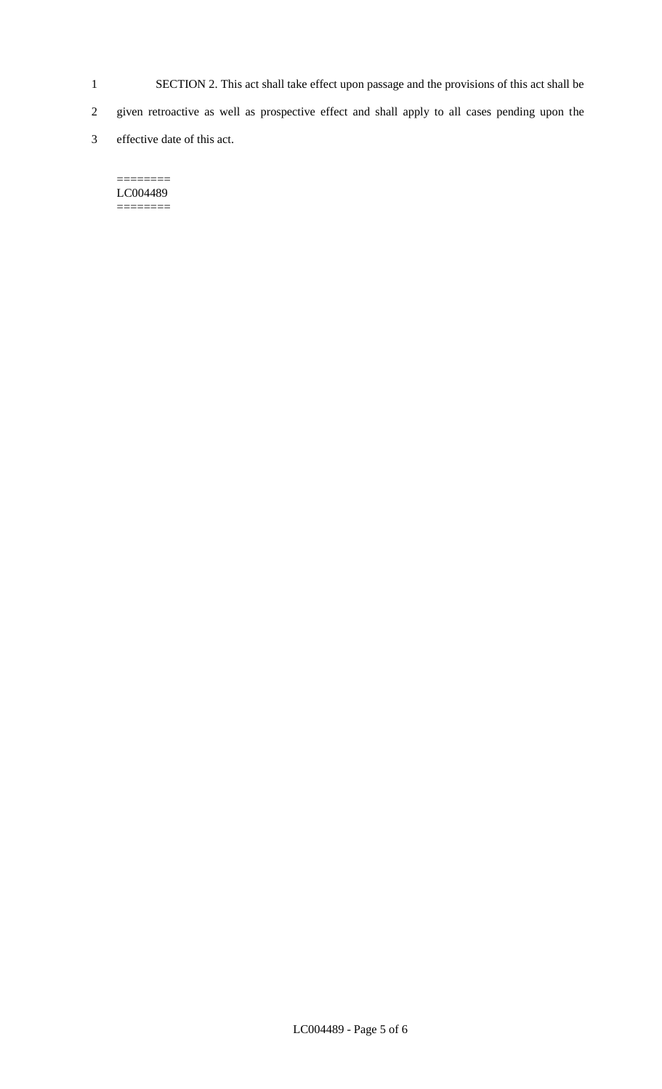- 1 SECTION 2. This act shall take effect upon passage and the provisions of this act shall be
- 2 given retroactive as well as prospective effect and shall apply to all cases pending upon the
- 3 effective date of this act.

#### $=$ LC004489 ========